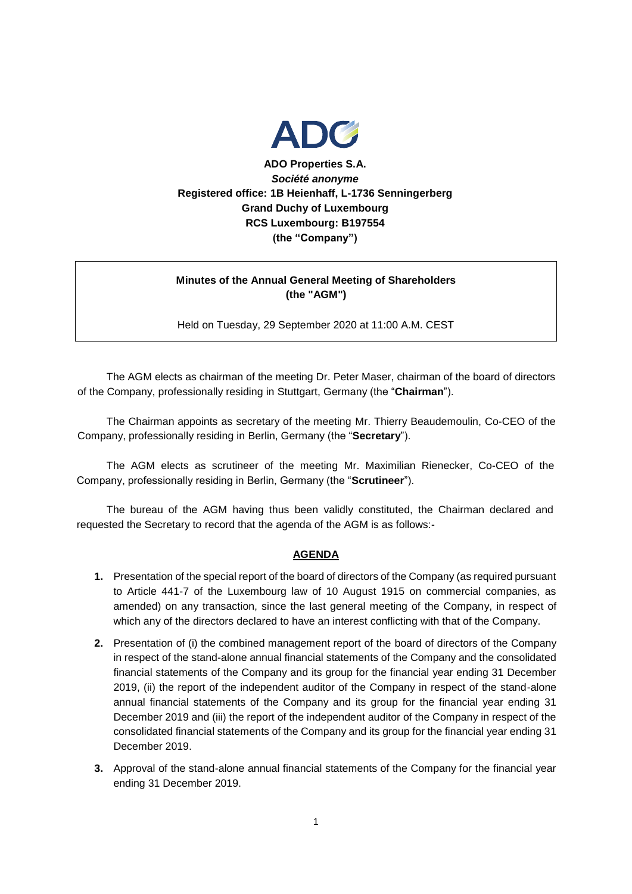

**ADO Properties S.A.** *Société anonyme* **Registered office: 1B Heienhaff, L-1736 Senningerberg Grand Duchy of Luxembourg RCS Luxembourg: B197554 (the "Company")**

# **Minutes of the Annual General Meeting of Shareholders (the "AGM")**

Held on Tuesday, 29 September 2020 at 11:00 A.M. CEST

The AGM elects as chairman of the meeting Dr. Peter Maser, chairman of the board of directors of the Company, professionally residing in Stuttgart, Germany (the "**Chairman**").

The Chairman appoints as secretary of the meeting Mr. Thierry Beaudemoulin, Co-CEO of the Company, professionally residing in Berlin, Germany (the "**Secretary**").

The AGM elects as scrutineer of the meeting Mr. Maximilian Rienecker, Co-CEO of the Company, professionally residing in Berlin, Germany (the "**Scrutineer**").

The bureau of the AGM having thus been validly constituted, the Chairman declared and requested the Secretary to record that the agenda of the AGM is as follows:-

#### **AGENDA**

- **1.** Presentation of the special report of the board of directors of the Company (as required pursuant to Article 441-7 of the Luxembourg law of 10 August 1915 on commercial companies, as amended) on any transaction, since the last general meeting of the Company, in respect of which any of the directors declared to have an interest conflicting with that of the Company.
- **2.** Presentation of (i) the combined management report of the board of directors of the Company in respect of the stand-alone annual financial statements of the Company and the consolidated financial statements of the Company and its group for the financial year ending 31 December 2019, (ii) the report of the independent auditor of the Company in respect of the stand-alone annual financial statements of the Company and its group for the financial year ending 31 December 2019 and (iii) the report of the independent auditor of the Company in respect of the consolidated financial statements of the Company and its group for the financial year ending 31 December 2019.
- **3.** Approval of the stand-alone annual financial statements of the Company for the financial year ending 31 December 2019.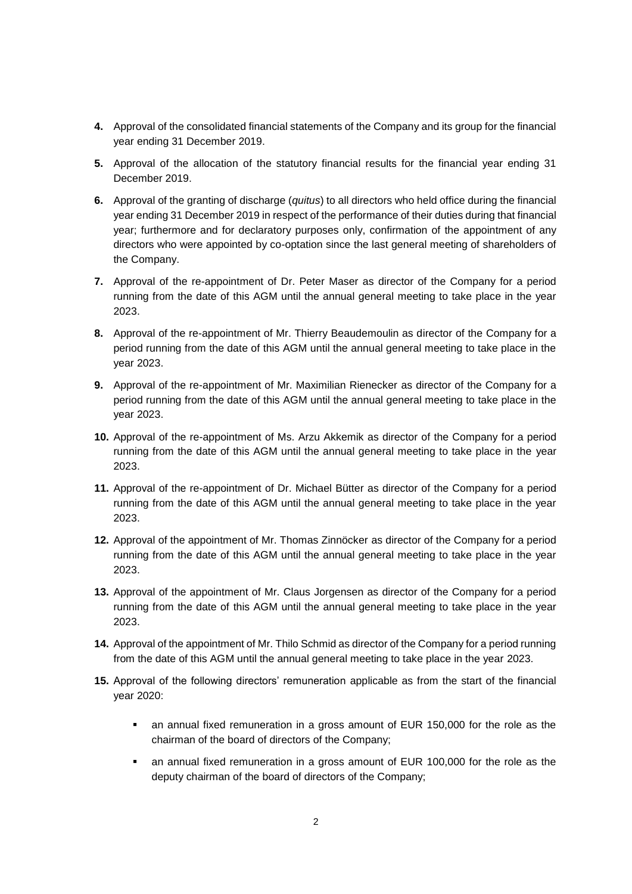- **4.** Approval of the consolidated financial statements of the Company and its group for the financial year ending 31 December 2019.
- **5.** Approval of the allocation of the statutory financial results for the financial year ending 31 December 2019.
- **6.** Approval of the granting of discharge (*quitus*) to all directors who held office during the financial year ending 31 December 2019 in respect of the performance of their duties during that financial year; furthermore and for declaratory purposes only, confirmation of the appointment of any directors who were appointed by co-optation since the last general meeting of shareholders of the Company.
- **7.** Approval of the re-appointment of Dr. Peter Maser as director of the Company for a period running from the date of this AGM until the annual general meeting to take place in the year 2023.
- **8.** Approval of the re-appointment of Mr. Thierry Beaudemoulin as director of the Company for a period running from the date of this AGM until the annual general meeting to take place in the year 2023.
- **9.** Approval of the re-appointment of Mr. Maximilian Rienecker as director of the Company for a period running from the date of this AGM until the annual general meeting to take place in the year 2023.
- **10.** Approval of the re-appointment of Ms. Arzu Akkemik as director of the Company for a period running from the date of this AGM until the annual general meeting to take place in the year 2023.
- **11.** Approval of the re-appointment of Dr. Michael Bütter as director of the Company for a period running from the date of this AGM until the annual general meeting to take place in the year 2023.
- **12.** Approval of the appointment of Mr. Thomas Zinnöcker as director of the Company for a period running from the date of this AGM until the annual general meeting to take place in the year 2023.
- **13.** Approval of the appointment of Mr. Claus Jorgensen as director of the Company for a period running from the date of this AGM until the annual general meeting to take place in the year 2023.
- **14.** Approval of the appointment of Mr. Thilo Schmid as director of the Company for a period running from the date of this AGM until the annual general meeting to take place in the year 2023.
- **15.** Approval of the following directors' remuneration applicable as from the start of the financial year 2020:
	- an annual fixed remuneration in a gross amount of EUR 150,000 for the role as the chairman of the board of directors of the Company;
	- an annual fixed remuneration in a gross amount of EUR 100,000 for the role as the deputy chairman of the board of directors of the Company;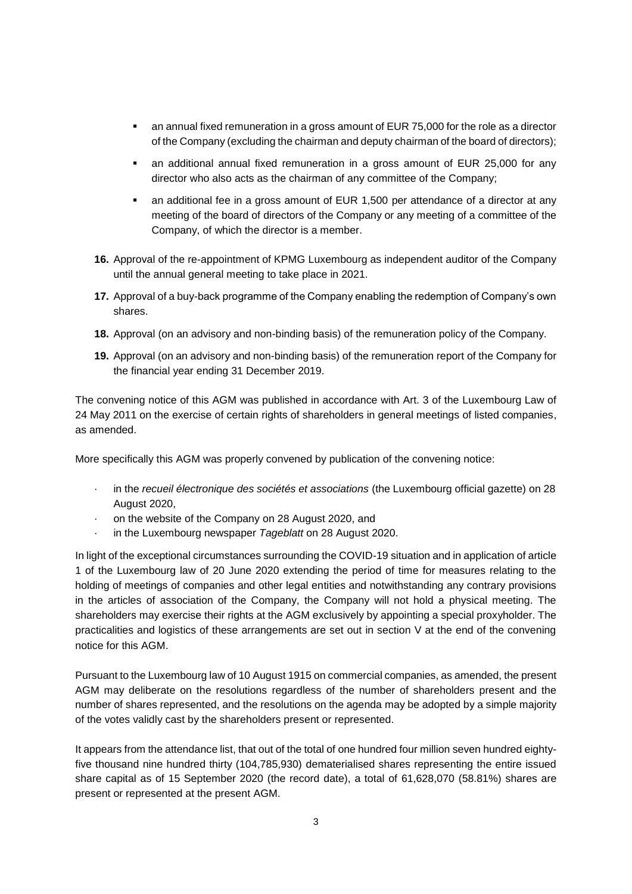- an annual fixed remuneration in a gross amount of EUR 75,000 for the role as a director of the Company (excluding the chairman and deputy chairman of the board of directors);
- an additional annual fixed remuneration in a gross amount of EUR 25,000 for any director who also acts as the chairman of any committee of the Company;
- an additional fee in a gross amount of EUR 1,500 per attendance of a director at any meeting of the board of directors of the Company or any meeting of a committee of the Company, of which the director is a member.
- **16.** Approval of the re-appointment of KPMG Luxembourg as independent auditor of the Company until the annual general meeting to take place in 2021.
- **17.** Approval of a buy-back programme of the Company enabling the redemption of Company's own shares.
- **18.** Approval (on an advisory and non-binding basis) of the remuneration policy of the Company.
- **19.** Approval (on an advisory and non-binding basis) of the remuneration report of the Company for the financial year ending 31 December 2019.

The convening notice of this AGM was published in accordance with Art. 3 of the Luxembourg Law of 24 May 2011 on the exercise of certain rights of shareholders in general meetings of listed companies, as amended.

More specifically this AGM was properly convened by publication of the convening notice:

- · in the *recueil électronique des sociétés et associations* (the Luxembourg official gazette) on 28 August 2020,
- on the website of the Company on 28 August 2020, and
- · in the Luxembourg newspaper *Tageblatt* on 28 August 2020.

In light of the exceptional circumstances surrounding the COVID-19 situation and in application of article 1 of the Luxembourg law of 20 June 2020 extending the period of time for measures relating to the holding of meetings of companies and other legal entities and notwithstanding any contrary provisions in the articles of association of the Company, the Company will not hold a physical meeting. The shareholders may exercise their rights at the AGM exclusively by appointing a special proxyholder. The practicalities and logistics of these arrangements are set out in section V at the end of the convening notice for this AGM.

Pursuant to the Luxembourg law of 10 August 1915 on commercial companies, as amended, the present AGM may deliberate on the resolutions regardless of the number of shareholders present and the number of shares represented, and the resolutions on the agenda may be adopted by a simple majority of the votes validly cast by the shareholders present or represented.

It appears from the attendance list, that out of the total of one hundred four million seven hundred eightyfive thousand nine hundred thirty (104,785,930) dematerialised shares representing the entire issued share capital as of 15 September 2020 (the record date), a total of 61,628,070 (58.81%) shares are present or represented at the present AGM.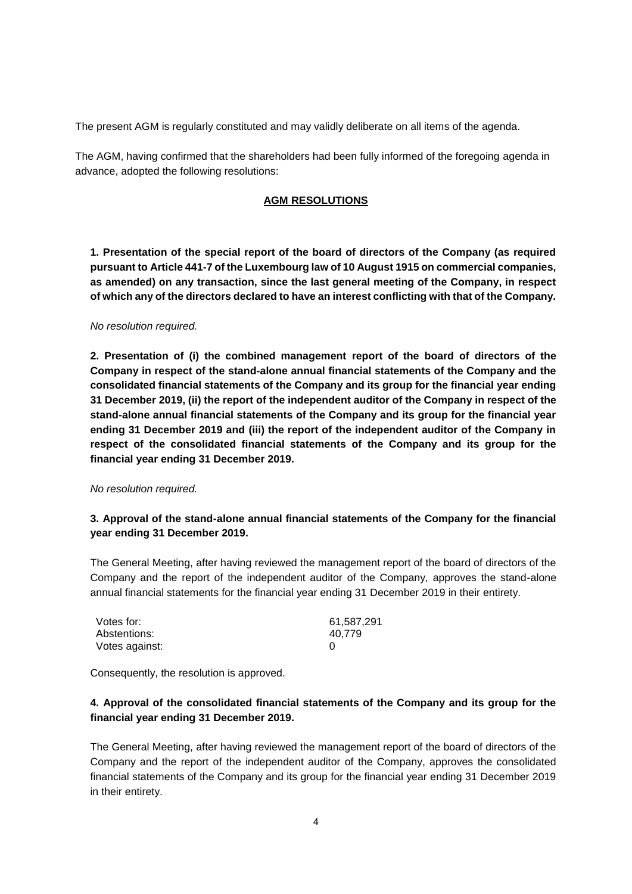The present AGM is regularly constituted and may validly deliberate on all items of the agenda.

The AGM, having confirmed that the shareholders had been fully informed of the foregoing agenda in advance, adopted the following resolutions:

#### **AGM RESOLUTIONS**

**1. Presentation of the special report of the board of directors of the Company (as required pursuant to Article 441-7 of the Luxembourg law of 10 August 1915 on commercial companies, as amended) on any transaction, since the last general meeting of the Company, in respect of which any of the directors declared to have an interest conflicting with that of the Company.**

#### *No resolution required.*

**2. Presentation of (i) the combined management report of the board of directors of the Company in respect of the stand-alone annual financial statements of the Company and the consolidated financial statements of the Company and its group for the financial year ending 31 December 2019, (ii) the report of the independent auditor of the Company in respect of the stand-alone annual financial statements of the Company and its group for the financial year ending 31 December 2019 and (iii) the report of the independent auditor of the Company in respect of the consolidated financial statements of the Company and its group for the financial year ending 31 December 2019.**

#### *No resolution required.*

### **3. Approval of the stand-alone annual financial statements of the Company for the financial year ending 31 December 2019.**

The General Meeting, after having reviewed the management report of the board of directors of the Company and the report of the independent auditor of the Company, approves the stand-alone annual financial statements for the financial year ending 31 December 2019 in their entirety.

| Votes for:     | 61,587,291 |
|----------------|------------|
| Abstentions:   | 40.779     |
| Votes against: |            |

Consequently, the resolution is approved.

# **4. Approval of the consolidated financial statements of the Company and its group for the financial year ending 31 December 2019.**

The General Meeting, after having reviewed the management report of the board of directors of the Company and the report of the independent auditor of the Company, approves the consolidated financial statements of the Company and its group for the financial year ending 31 December 2019 in their entirety.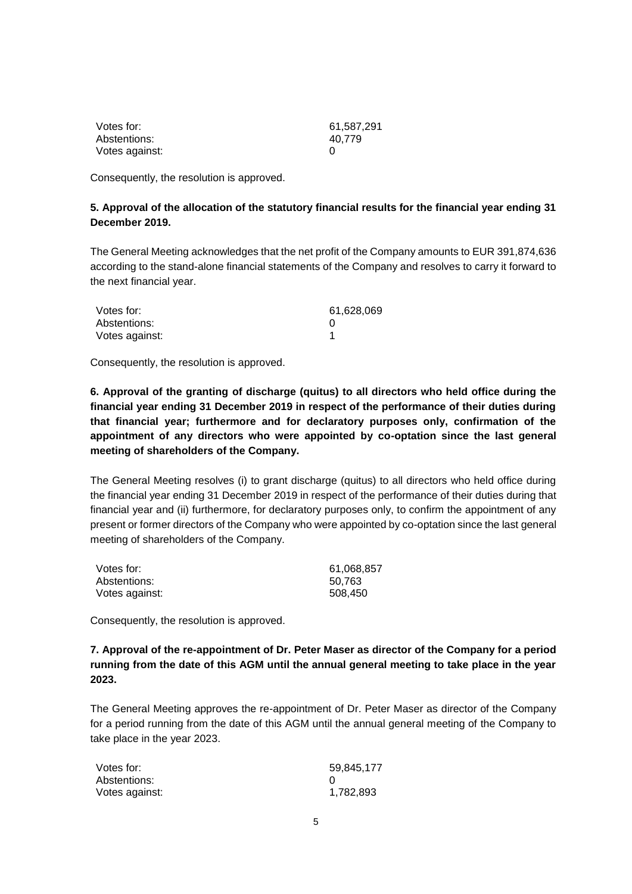| Votes for:     | 61,587,291 |
|----------------|------------|
| Abstentions:   | 40.779     |
| Votes against: |            |

Consequently, the resolution is approved.

#### **5. Approval of the allocation of the statutory financial results for the financial year ending 31 December 2019.**

The General Meeting acknowledges that the net profit of the Company amounts to EUR 391,874,636 according to the stand-alone financial statements of the Company and resolves to carry it forward to the next financial year.

| Votes for:     | 61,628,069 |
|----------------|------------|
| Abstentions:   |            |
| Votes against: |            |

Consequently, the resolution is approved.

**6. Approval of the granting of discharge (quitus) to all directors who held office during the financial year ending 31 December 2019 in respect of the performance of their duties during that financial year; furthermore and for declaratory purposes only, confirmation of the appointment of any directors who were appointed by co-optation since the last general meeting of shareholders of the Company.**

The General Meeting resolves (i) to grant discharge (quitus) to all directors who held office during the financial year ending 31 December 2019 in respect of the performance of their duties during that financial year and (ii) furthermore, for declaratory purposes only, to confirm the appointment of any present or former directors of the Company who were appointed by co-optation since the last general meeting of shareholders of the Company.

| Votes for:     | 61,068,857 |
|----------------|------------|
| Abstentions:   | 50.763     |
| Votes against: | 508.450    |

Consequently, the resolution is approved.

**7. Approval of the re-appointment of Dr. Peter Maser as director of the Company for a period running from the date of this AGM until the annual general meeting to take place in the year 2023.**

The General Meeting approves the re-appointment of Dr. Peter Maser as director of the Company for a period running from the date of this AGM until the annual general meeting of the Company to take place in the year 2023.

| Votes for:     | 59,845,177 |
|----------------|------------|
| Abstentions:   |            |
| Votes against: | 1,782,893  |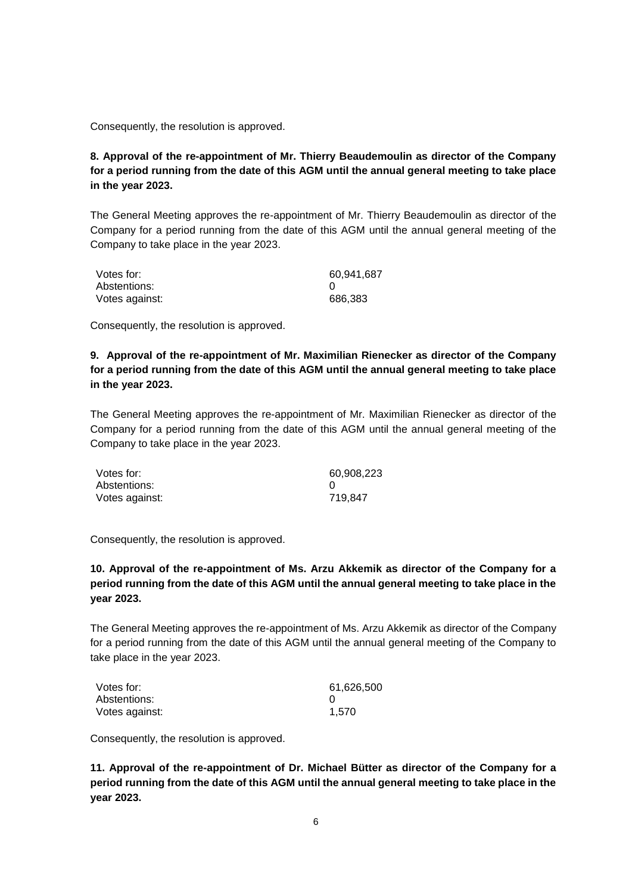Consequently, the resolution is approved.

# **8. Approval of the re-appointment of Mr. Thierry Beaudemoulin as director of the Company for a period running from the date of this AGM until the annual general meeting to take place in the year 2023.**

The General Meeting approves the re-appointment of Mr. Thierry Beaudemoulin as director of the Company for a period running from the date of this AGM until the annual general meeting of the Company to take place in the year 2023.

| Votes for:     | 60.941.687 |
|----------------|------------|
| Abstentions:   |            |
| Votes against: | 686.383    |

Consequently, the resolution is approved.

# **9. Approval of the re-appointment of Mr. Maximilian Rienecker as director of the Company for a period running from the date of this AGM until the annual general meeting to take place in the year 2023.**

The General Meeting approves the re-appointment of Mr. Maximilian Rienecker as director of the Company for a period running from the date of this AGM until the annual general meeting of the Company to take place in the year 2023.

| Votes for:     | 60,908,223 |
|----------------|------------|
| Abstentions:   |            |
| Votes against: | 719.847    |

Consequently, the resolution is approved.

## **10. Approval of the re-appointment of Ms. Arzu Akkemik as director of the Company for a period running from the date of this AGM until the annual general meeting to take place in the year 2023.**

The General Meeting approves the re-appointment of Ms. Arzu Akkemik as director of the Company for a period running from the date of this AGM until the annual general meeting of the Company to take place in the year 2023.

| Votes for:     | 61,626,500 |
|----------------|------------|
| Abstentions:   |            |
| Votes against: | 1.570      |

Consequently, the resolution is approved.

**11. Approval of the re-appointment of Dr. Michael Bütter as director of the Company for a period running from the date of this AGM until the annual general meeting to take place in the year 2023.**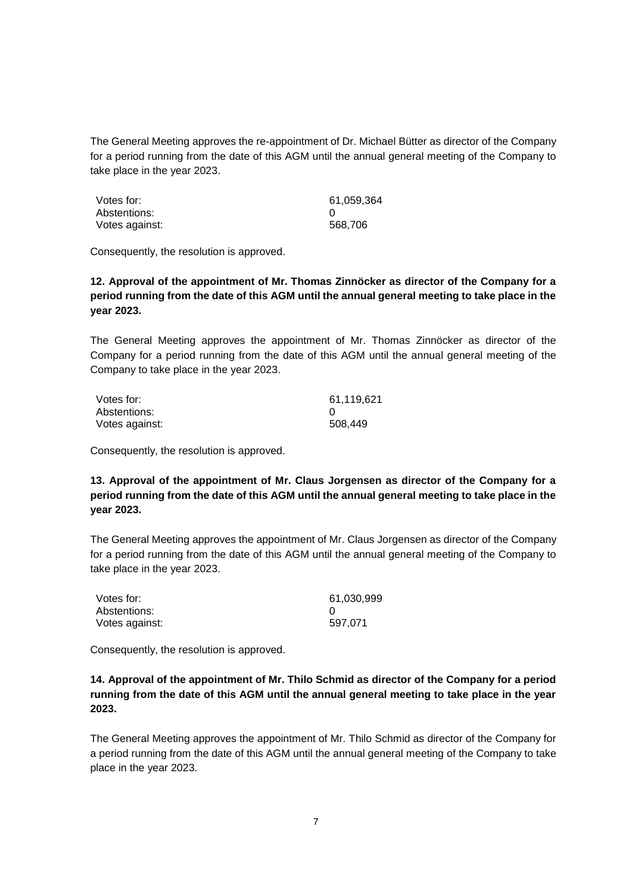The General Meeting approves the re-appointment of Dr. Michael Bütter as director of the Company for a period running from the date of this AGM until the annual general meeting of the Company to take place in the year 2023.

| Votes for:     | 61,059,364 |
|----------------|------------|
| Abstentions:   |            |
| Votes against: | 568.706    |

Consequently, the resolution is approved.

**12. Approval of the appointment of Mr. Thomas Zinnöcker as director of the Company for a period running from the date of this AGM until the annual general meeting to take place in the year 2023.**

The General Meeting approves the appointment of Mr. Thomas Zinnöcker as director of the Company for a period running from the date of this AGM until the annual general meeting of the Company to take place in the year 2023.

| Votes for:     | 61,119,621 |
|----------------|------------|
| Abstentions:   |            |
| Votes against: | 508,449    |

Consequently, the resolution is approved.

**13. Approval of the appointment of Mr. Claus Jorgensen as director of the Company for a period running from the date of this AGM until the annual general meeting to take place in the year 2023.** 

The General Meeting approves the appointment of Mr. Claus Jorgensen as director of the Company for a period running from the date of this AGM until the annual general meeting of the Company to take place in the year 2023.

| Votes for:     | 61,030,999 |
|----------------|------------|
| Abstentions:   |            |
| Votes against: | 597.071    |

Consequently, the resolution is approved.

## **14. Approval of the appointment of Mr. Thilo Schmid as director of the Company for a period running from the date of this AGM until the annual general meeting to take place in the year 2023.**

The General Meeting approves the appointment of Mr. Thilo Schmid as director of the Company for a period running from the date of this AGM until the annual general meeting of the Company to take place in the year 2023.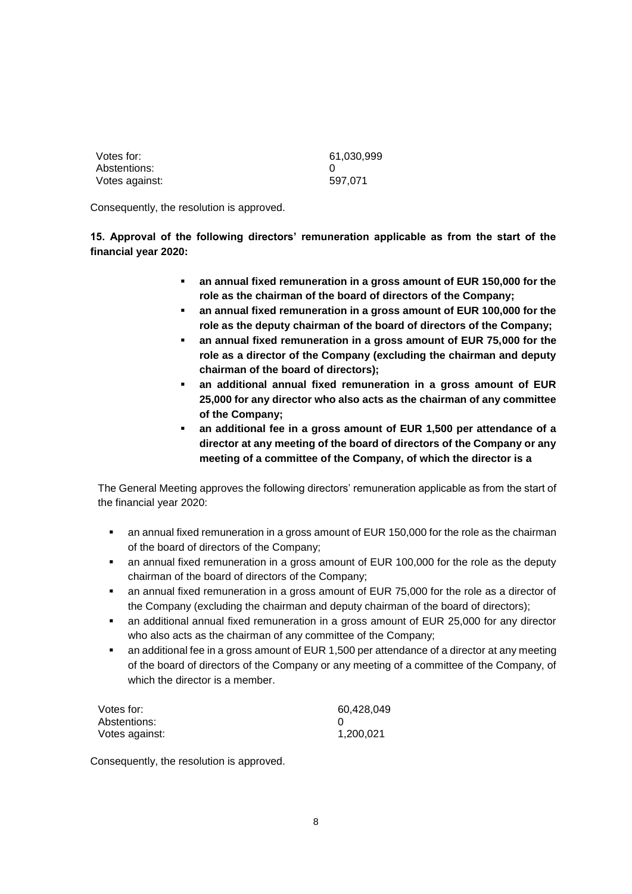| Votes for:     | 61,030,999 |
|----------------|------------|
| Abstentions:   |            |
| Votes against: | 597.071    |

Consequently, the resolution is approved.

**15. Approval of the following directors' remuneration applicable as from the start of the financial year 2020:**

- **an annual fixed remuneration in a gross amount of EUR 150,000 for the role as the chairman of the board of directors of the Company;**
- **an annual fixed remuneration in a gross amount of EUR 100,000 for the role as the deputy chairman of the board of directors of the Company;**
- **an annual fixed remuneration in a gross amount of EUR 75,000 for the role as a director of the Company (excluding the chairman and deputy chairman of the board of directors);**
- **an additional annual fixed remuneration in a gross amount of EUR 25,000 for any director who also acts as the chairman of any committee of the Company;**
- **an additional fee in a gross amount of EUR 1,500 per attendance of a director at any meeting of the board of directors of the Company or any meeting of a committee of the Company, of which the director is a**

The General Meeting approves the following directors' remuneration applicable as from the start of the financial year 2020:

- an annual fixed remuneration in a gross amount of EUR 150,000 for the role as the chairman of the board of directors of the Company;
- an annual fixed remuneration in a gross amount of EUR 100,000 for the role as the deputy chairman of the board of directors of the Company;
- an annual fixed remuneration in a gross amount of EUR 75,000 for the role as a director of the Company (excluding the chairman and deputy chairman of the board of directors);
- an additional annual fixed remuneration in a gross amount of EUR 25,000 for any director who also acts as the chairman of any committee of the Company;
- an additional fee in a gross amount of EUR 1,500 per attendance of a director at any meeting of the board of directors of the Company or any meeting of a committee of the Company, of which the director is a member.

| Votes for:     | 60,428,049 |
|----------------|------------|
| Abstentions:   |            |
| Votes against: | 1,200,021  |

Consequently, the resolution is approved.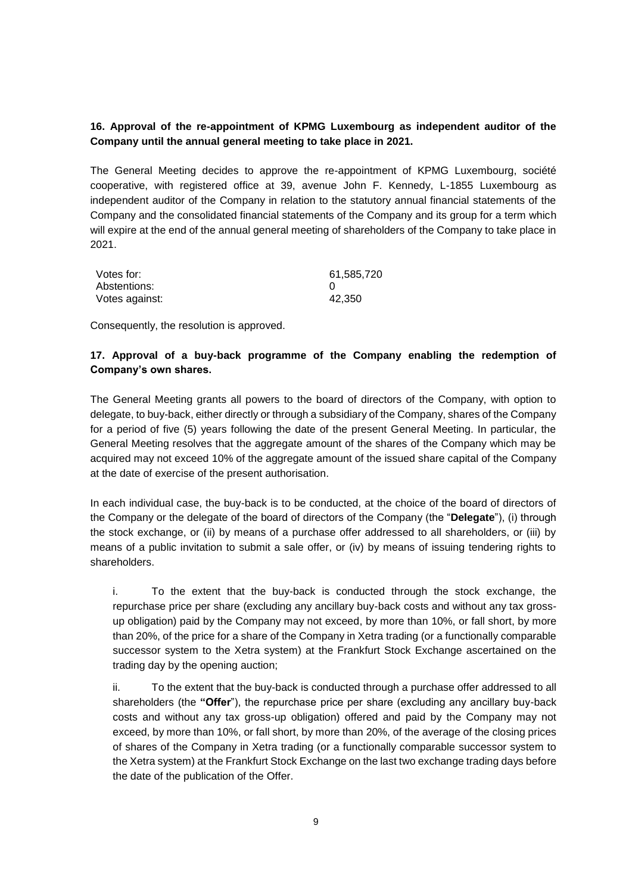### **16. Approval of the re-appointment of KPMG Luxembourg as independent auditor of the Company until the annual general meeting to take place in 2021.**

The General Meeting decides to approve the re-appointment of KPMG Luxembourg, société cooperative, with registered office at 39, avenue John F. Kennedy, L-1855 Luxembourg as independent auditor of the Company in relation to the statutory annual financial statements of the Company and the consolidated financial statements of the Company and its group for a term which will expire at the end of the annual general meeting of shareholders of the Company to take place in 2021.

| Votes for:     | 61,585,720 |
|----------------|------------|
| Abstentions:   |            |
| Votes against: | 42,350     |

Consequently, the resolution is approved.

## **17. Approval of a buy-back programme of the Company enabling the redemption of Company's own shares.**

The General Meeting grants all powers to the board of directors of the Company, with option to delegate, to buy-back, either directly or through a subsidiary of the Company, shares of the Company for a period of five (5) years following the date of the present General Meeting. In particular, the General Meeting resolves that the aggregate amount of the shares of the Company which may be acquired may not exceed 10% of the aggregate amount of the issued share capital of the Company at the date of exercise of the present authorisation.

In each individual case, the buy-back is to be conducted, at the choice of the board of directors of the Company or the delegate of the board of directors of the Company (the "**Delegate**"), (i) through the stock exchange, or (ii) by means of a purchase offer addressed to all shareholders, or (iii) by means of a public invitation to submit a sale offer, or (iv) by means of issuing tendering rights to shareholders.

i. To the extent that the buy-back is conducted through the stock exchange, the repurchase price per share (excluding any ancillary buy-back costs and without any tax grossup obligation) paid by the Company may not exceed, by more than 10%, or fall short, by more than 20%, of the price for a share of the Company in Xetra trading (or a functionally comparable successor system to the Xetra system) at the Frankfurt Stock Exchange ascertained on the trading day by the opening auction;

ii. To the extent that the buy-back is conducted through a purchase offer addressed to all shareholders (the **"Offer**"), the repurchase price per share (excluding any ancillary buy-back costs and without any tax gross-up obligation) offered and paid by the Company may not exceed, by more than 10%, or fall short, by more than 20%, of the average of the closing prices of shares of the Company in Xetra trading (or a functionally comparable successor system to the Xetra system) at the Frankfurt Stock Exchange on the last two exchange trading days before the date of the publication of the Offer.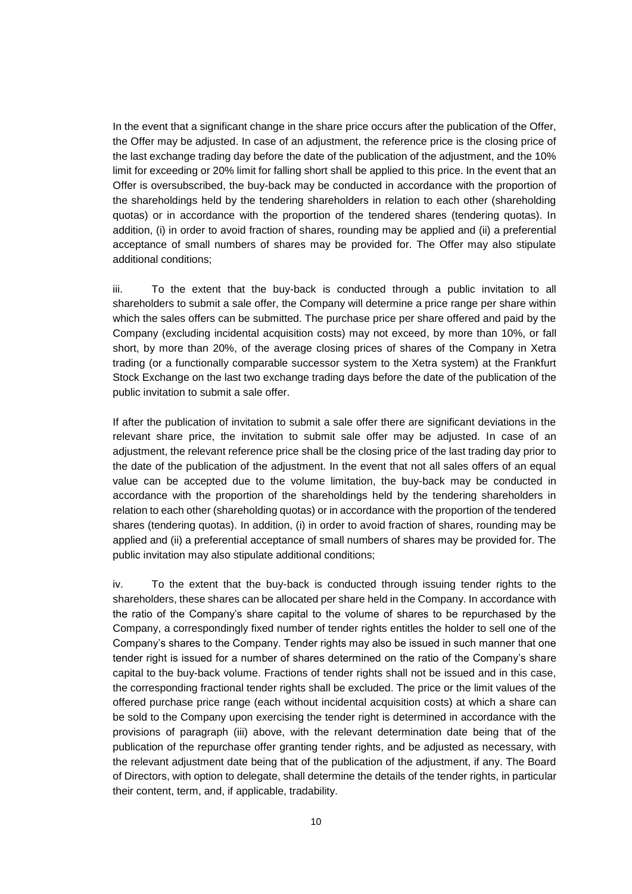In the event that a significant change in the share price occurs after the publication of the Offer, the Offer may be adjusted. In case of an adjustment, the reference price is the closing price of the last exchange trading day before the date of the publication of the adjustment, and the 10% limit for exceeding or 20% limit for falling short shall be applied to this price. In the event that an Offer is oversubscribed, the buy-back may be conducted in accordance with the proportion of the shareholdings held by the tendering shareholders in relation to each other (shareholding quotas) or in accordance with the proportion of the tendered shares (tendering quotas). In addition, (i) in order to avoid fraction of shares, rounding may be applied and (ii) a preferential acceptance of small numbers of shares may be provided for. The Offer may also stipulate additional conditions;

iii. To the extent that the buy-back is conducted through a public invitation to all shareholders to submit a sale offer, the Company will determine a price range per share within which the sales offers can be submitted. The purchase price per share offered and paid by the Company (excluding incidental acquisition costs) may not exceed, by more than 10%, or fall short, by more than 20%, of the average closing prices of shares of the Company in Xetra trading (or a functionally comparable successor system to the Xetra system) at the Frankfurt Stock Exchange on the last two exchange trading days before the date of the publication of the public invitation to submit a sale offer.

If after the publication of invitation to submit a sale offer there are significant deviations in the relevant share price, the invitation to submit sale offer may be adjusted. In case of an adjustment, the relevant reference price shall be the closing price of the last trading day prior to the date of the publication of the adjustment. In the event that not all sales offers of an equal value can be accepted due to the volume limitation, the buy-back may be conducted in accordance with the proportion of the shareholdings held by the tendering shareholders in relation to each other (shareholding quotas) or in accordance with the proportion of the tendered shares (tendering quotas). In addition, (i) in order to avoid fraction of shares, rounding may be applied and (ii) a preferential acceptance of small numbers of shares may be provided for. The public invitation may also stipulate additional conditions;

iv. To the extent that the buy-back is conducted through issuing tender rights to the shareholders, these shares can be allocated per share held in the Company. In accordance with the ratio of the Company's share capital to the volume of shares to be repurchased by the Company, a correspondingly fixed number of tender rights entitles the holder to sell one of the Company's shares to the Company. Tender rights may also be issued in such manner that one tender right is issued for a number of shares determined on the ratio of the Company's share capital to the buy-back volume. Fractions of tender rights shall not be issued and in this case, the corresponding fractional tender rights shall be excluded. The price or the limit values of the offered purchase price range (each without incidental acquisition costs) at which a share can be sold to the Company upon exercising the tender right is determined in accordance with the provisions of paragraph (iii) above, with the relevant determination date being that of the publication of the repurchase offer granting tender rights, and be adjusted as necessary, with the relevant adjustment date being that of the publication of the adjustment, if any. The Board of Directors, with option to delegate, shall determine the details of the tender rights, in particular their content, term, and, if applicable, tradability.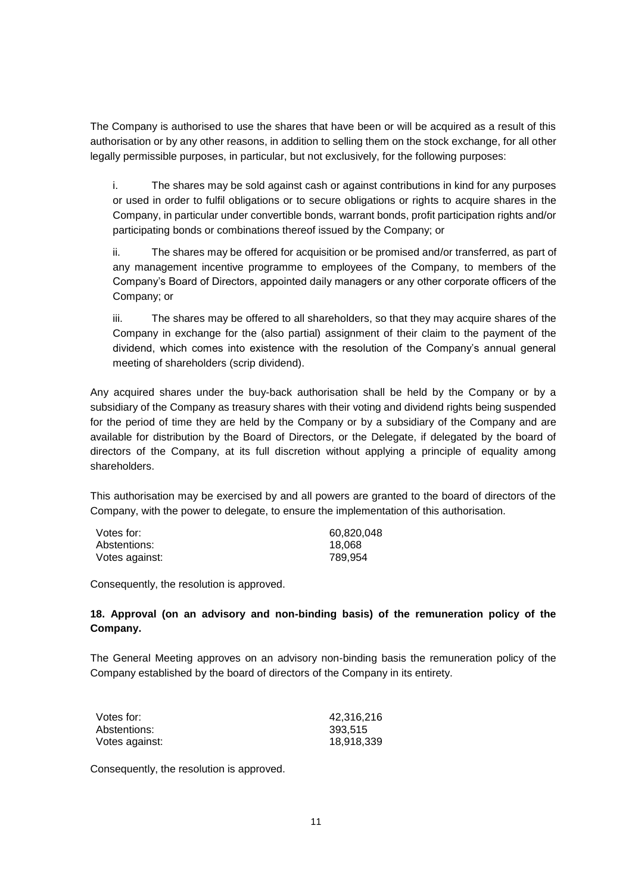The Company is authorised to use the shares that have been or will be acquired as a result of this authorisation or by any other reasons, in addition to selling them on the stock exchange, for all other legally permissible purposes, in particular, but not exclusively, for the following purposes:

i. The shares may be sold against cash or against contributions in kind for any purposes or used in order to fulfil obligations or to secure obligations or rights to acquire shares in the Company, in particular under convertible bonds, warrant bonds, profit participation rights and/or participating bonds or combinations thereof issued by the Company; or

ii. The shares may be offered for acquisition or be promised and/or transferred, as part of any management incentive programme to employees of the Company, to members of the Company's Board of Directors, appointed daily managers or any other corporate officers of the Company; or

iii. The shares may be offered to all shareholders, so that they may acquire shares of the Company in exchange for the (also partial) assignment of their claim to the payment of the dividend, which comes into existence with the resolution of the Company's annual general meeting of shareholders (scrip dividend).

Any acquired shares under the buy-back authorisation shall be held by the Company or by a subsidiary of the Company as treasury shares with their voting and dividend rights being suspended for the period of time they are held by the Company or by a subsidiary of the Company and are available for distribution by the Board of Directors, or the Delegate, if delegated by the board of directors of the Company, at its full discretion without applying a principle of equality among shareholders.

This authorisation may be exercised by and all powers are granted to the board of directors of the Company, with the power to delegate, to ensure the implementation of this authorisation.

| Votes for:     | 60,820,048 |
|----------------|------------|
| Abstentions:   | 18.068     |
| Votes against: | 789.954    |

Consequently, the resolution is approved.

#### **18. Approval (on an advisory and non-binding basis) of the remuneration policy of the Company.**

The General Meeting approves on an advisory non-binding basis the remuneration policy of the Company established by the board of directors of the Company in its entirety.

| Votes for:     | 42,316,216 |
|----------------|------------|
| Abstentions:   | 393.515    |
| Votes against: | 18.918.339 |

Consequently, the resolution is approved.